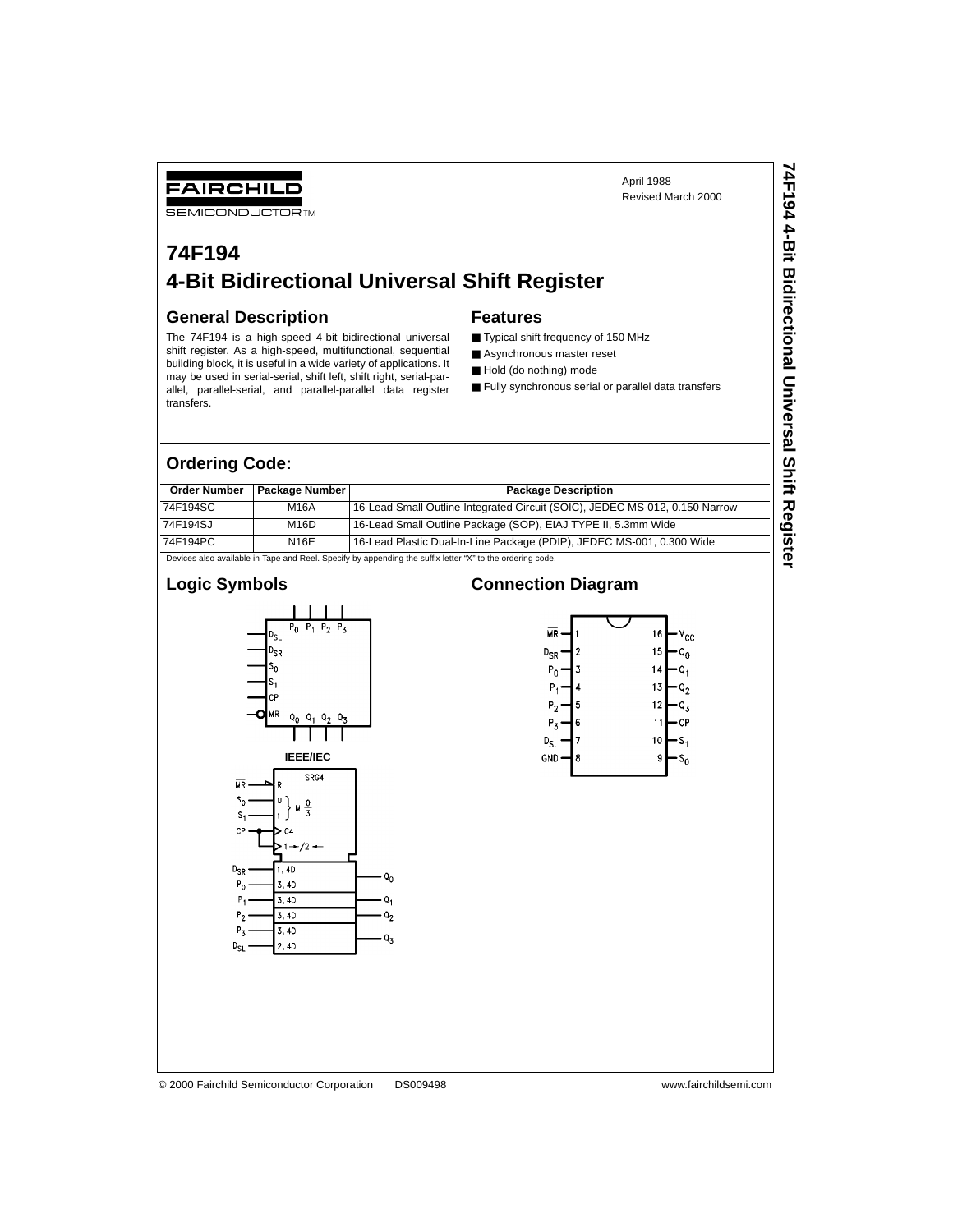**74F194 4-Bit Bidirectional Universal Shift Register**

74F194 4-Bit Bidirectional Universal Shift Register

## **74F194 4-Bit Bidirectional Universal Shift Register**

#### **General Description**

FAIRCHILD **SEMICONDUCTOR TM** 

The 74F194 is a high-speed 4-bit bidirectional universal shift register. As a high-speed, multifunctional, sequential building block, it is useful in a wide variety of applications. It may be used in serial-serial, shift left, shift right, serial-parallel, parallel-serial, and parallel-parallel data register transfers.

#### **Features**

- Typical shift frequency of 150 MHz
- Asynchronous master reset
- Hold (do nothing) mode
- Fully synchronous serial or parallel data transfers

#### **Ordering Code:**

| <b>Order Number</b> | Package Number | <b>Package Description</b>                                                                                |
|---------------------|----------------|-----------------------------------------------------------------------------------------------------------|
| 74F194SC            | M16A           | 16-Lead Small Outline Integrated Circuit (SOIC), JEDEC MS-012, 0.150 Narrow                               |
| 74F194SJ            | M16D           | 16-Lead Small Outline Package (SOP), EIAJ TYPE II, 5.3mm Wide                                             |
| 74F194PC            | N16E           | 16-Lead Plastic Dual-In-Line Package (PDIP), JEDEC MS-001, 0.300 Wide                                     |
|                     |                | Devices also available in Tape and Reel. Specify by appending the suffix letter "X" to the ordering code. |

#### **Logic Symbols**



#### **Connection Diagram**



#### © 2000 Fairchild Semiconductor Corporation DS009498 www.fairchildsemi.com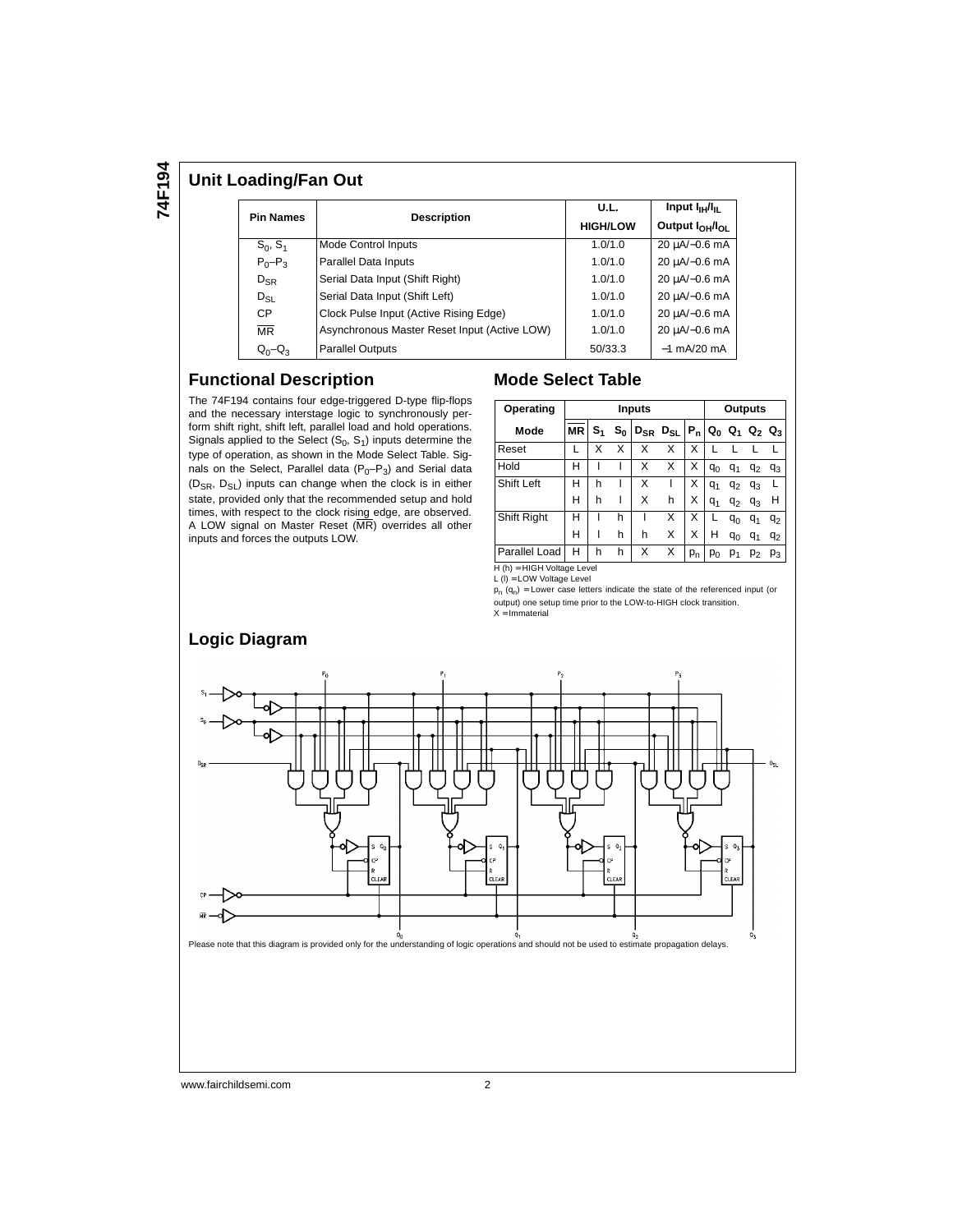**74F194**

#### **Unit Loading/Fan Out**

| <b>Pin Names</b>       |                                              | U.L.            | Input $I_{\text{H}}/I_{\text{H}}$       |  |
|------------------------|----------------------------------------------|-----------------|-----------------------------------------|--|
|                        | <b>Description</b>                           | <b>HIGH/LOW</b> | Output I <sub>OH</sub> /I <sub>OL</sub> |  |
| $S_0, S_1$             | <b>Mode Control Inputs</b>                   | 1.0/1.0         | 20 uA/-0.6 mA                           |  |
| $P_0-P_3$              | Parallel Data Inputs                         | 1.0/1.0         | 20 µA/-0.6 mA                           |  |
| $D_{\text{SR}}$        | Serial Data Input (Shift Right)              | 1.0/1.0         | 20 µA/-0.6 mA                           |  |
| $D_{SL}$               | Serial Data Input (Shift Left)               | 1.0/1.0         | 20 uA/-0.6 mA                           |  |
| <b>CP</b>              | Clock Pulse Input (Active Rising Edge)       | 1.0/1.0         | 20 uA/-0.6 mA                           |  |
| $\overline{\text{MR}}$ | Asynchronous Master Reset Input (Active LOW) | 1.0/1.0         | 20 µA/-0.6 mA                           |  |
| $Q_0 - Q_3$            | <b>Parallel Outputs</b>                      | 50/33.3         | $-1$ mA/20 mA                           |  |

#### **Functional Description**

The 74F194 contains four edge-triggered D-type flip-flops and the necessary interstage logic to synchronously perform shift right, shift left, parallel load and hold operations. Signals applied to the Select  $(S_0, S_1)$  inputs determine the type of operation, as shown in the Mode Select Table. Signals on the Select, Parallel data  $(P_0-P_3)$  and Serial data  $(D_{SR}, D_{SL})$  inputs can change when the clock is in either state, provided only that the recommended setup and hold times, with respect to the clock rising edge, are observed. A LOW signal on Master Reset (MR) overrides all other inputs and forces the outputs LOW.

#### **Mode Select Table**

|           |                |                         | <b>Outputs</b> |               |                                 |                |                |                |         |
|-----------|----------------|-------------------------|----------------|---------------|---------------------------------|----------------|----------------|----------------|---------|
| <b>MR</b> | S <sub>1</sub> | $\mathbf{s}_\mathbf{0}$ |                |               |                                 |                |                | Q <sub>2</sub> | $Q_3$   |
|           | x              | x                       | Χ              | x             | х                               |                |                |                |         |
| н         |                |                         | Χ              | X             | X                               | $q_0$          | q <sub>1</sub> | $q_2$          | $q_3$   |
| н         | h              |                         | Χ              |               | X                               | $q_1$          | $q_2$          | $q_3$          |         |
| н         | h              |                         | X              | h             | x                               | $q_1$          | $q_{2}$        | $q_3$          | н       |
| н         |                | h                       |                | x             | x                               | L              | $q_0$          | $q_1$          | $q_2$   |
| н         |                | h                       | h              | x             | x                               | н              | $q_0$          | $q_1$          | $q_{2}$ |
| н         | h              | h                       | Χ              | x             | p <sub>n</sub>                  | P <sub>0</sub> | $p_1$          | p <sub>2</sub> | $p_3$   |
|           |                |                         |                | <b>Inputs</b> | D <sub>SR</sub> D <sub>SL</sub> | $P_n$          |                | $Q_0$          | $Q_1$   |

L (l) = LOW Voltage Level

 $p_n$  (q<sub>n</sub>) = Lower case letters indicate the state of the referenced input (or output) one setup time prior to the LOW-to-HIGH clock transition. X = Immaterial



www.fairchildsemi.com 2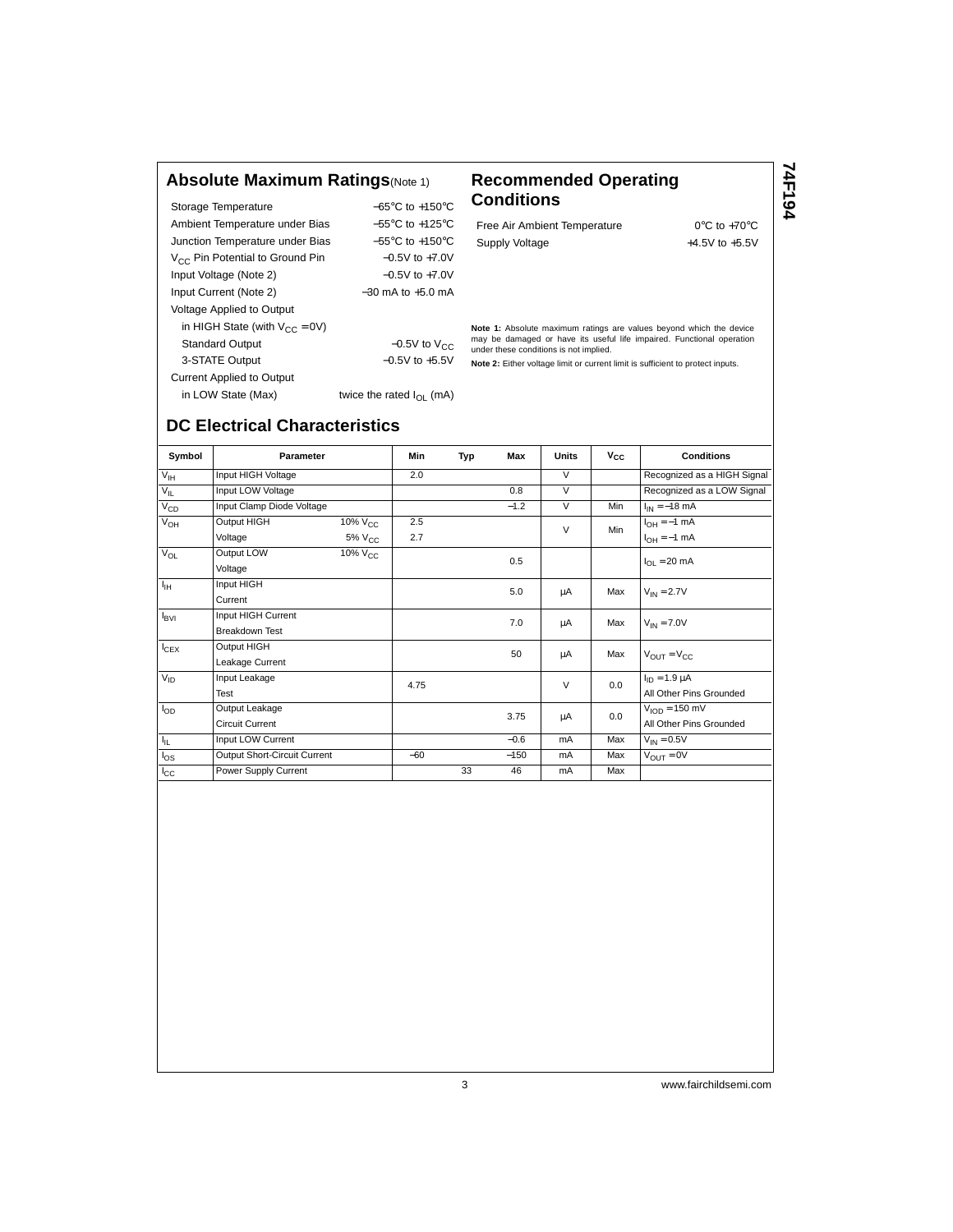#### **Absolute Maximum Ratings**(Note 1) **Recommended Operating**

Storage Temperature −65°C to +150°C Ambient Temperature under Bias  $-55^{\circ}$ C to +125°C Junction Temperature under Bias −55°C to +150°C V<sub>CC</sub> Pin Potential to Ground Pin −0.5V to +7.0V Input Voltage (Note 2) −0.5V to +7.0V Input Current (Note 2) −30 mA to +5.0 mA Voltage Applied to Output in HIGH State (with  $V_{CC} = 0V$ ) Standard Output  $-0.5V$  to  $V_{CC}$ 3-STATE Output −0.5V to +5.5V Current Applied to Output in LOW State (Max) twice the rated  $I_{OL}$  (mA)

# **Conditions**

Free Air Ambient Temperature 0°C to +70°C Supply Voltage  $+4.5V$  to  $+5.5V$ 

**74F194**

**Note 1:** Absolute maximum ratings are values beyond which the device may be damaged or have its useful life impaired. Functional operation under these conditions is not implied.

**Note 2:** Either voltage limit or current limit is sufficient to protect inputs.

| Symbol           | Parameter                    |                     | Min   | Typ | <b>Max</b> | <b>Units</b> | $V_{CC}$                         | <b>Conditions</b>           |
|------------------|------------------------------|---------------------|-------|-----|------------|--------------|----------------------------------|-----------------------------|
| $V_{\text{IH}}$  | Input HIGH Voltage           |                     | 2.0   |     |            | $\vee$       |                                  | Recognized as a HIGH Signal |
| $V_{IL}$         | Input LOW Voltage            |                     |       |     | 0.8        | V            |                                  | Recognized as a LOW Signal  |
| $V_{CD}$         | Input Clamp Diode Voltage    |                     |       |     | $-1.2$     | $\vee$       | Min                              | $I_{IN} = -18$ mA           |
| $V_{OH}$         | Output HIGH                  | 10% V <sub>CC</sub> | 2.5   |     |            | $\vee$       | Min                              | $I_{OH} = -1$ mA            |
|                  | Voltage                      | 5% V <sub>CC</sub>  | 2.7   |     |            |              |                                  | $I_{OH} = -1$ mA            |
| $V_{OL}$         | Output LOW                   | $10\%$ $V_{CC}$     |       |     | 0.5        |              |                                  | $I_{OL}$ = 20 mA            |
|                  | Voltage                      |                     |       |     |            |              |                                  |                             |
| $I_{\rm IH}$     | Input HIGH                   |                     |       |     | 5.0        | μA           | Max                              | $V_{IN}$ = 2.7V             |
|                  | Current                      |                     |       |     |            |              |                                  |                             |
| $I_{\text{BVI}}$ | Input HIGH Current           |                     |       |     | 7.0        | μA           | Max                              | $V_{IN} = 7.0V$             |
|                  | <b>Breakdown Test</b>        |                     |       |     |            |              |                                  |                             |
| $I_{CEX}$        | Output HIGH                  |                     |       |     | 50         | Max<br>μA    | $V_{\text{OUT}} = V_{\text{CC}}$ |                             |
|                  | Leakage Current              |                     |       |     |            |              |                                  |                             |
| $V_{ID}$         | Input Leakage                |                     | 4.75  |     |            | $\vee$       | 0.0                              | $I_{ID} = 1.9 \mu A$        |
|                  | Test                         |                     |       |     |            |              |                                  | All Other Pins Grounded     |
| $I_{OD}$         | Output Leakage               |                     |       |     | 3.75       | μA           | 0.0                              | $VION = 150$ mV             |
|                  | <b>Circuit Current</b>       |                     |       |     |            |              |                                  | All Other Pins Grounded     |
| $I_{\rm IL}$     | Input LOW Current            |                     |       |     | $-0.6$     | mA           | Max                              | $V_{IN} = 0.5V$             |
| $I_{OS}$         | Output Short-Circuit Current |                     | $-60$ |     | $-150$     | mA           | Max                              | $V_{\text{OUT}} = 0V$       |
| $I_{\rm CC}$     | Power Supply Current         |                     |       | 33  | 46         | mA           | Max                              |                             |

#### **DC Electrical Characteristics**

3 www.fairchildsemi.com